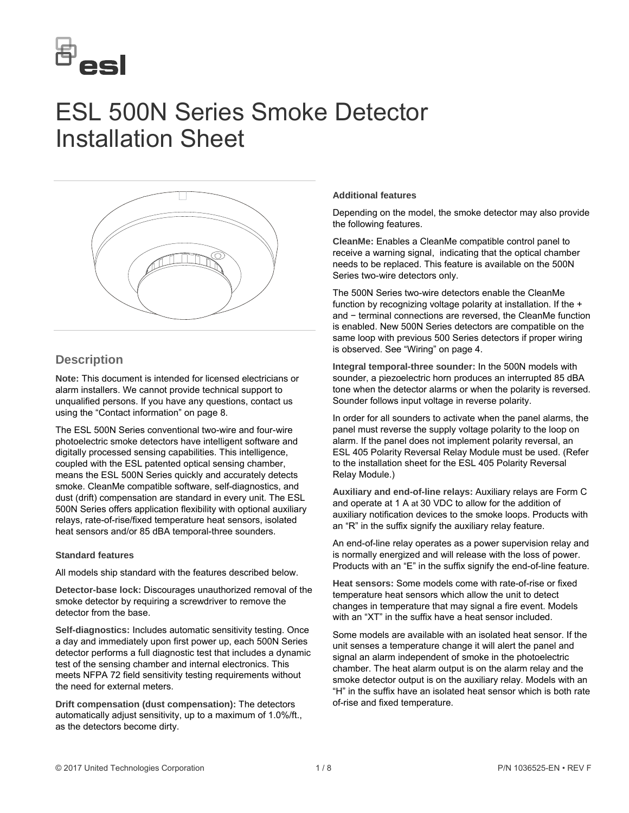

# ESL 500N Series Smoke Detector Installation Sheet



# **Description**

**Note:** This document is intended for licensed electricians or alarm installers. We cannot provide technical support to unqualified persons. If you have any questions, contact us using the "Contact information" on page 8.

The ESL 500N Series conventional two-wire and four-wire photoelectric smoke detectors have intelligent software and digitally processed sensing capabilities. This intelligence, coupled with the ESL patented optical sensing chamber, means the ESL 500N Series quickly and accurately detects smoke. CleanMe compatible software, self-diagnostics, and dust (drift) compensation are standard in every unit. The ESL 500N Series offers application flexibility with optional auxiliary relays, rate-of-rise/fixed temperature heat sensors, isolated heat sensors and/or 85 dBA temporal-three sounders.

#### **Standard features**

All models ship standard with the features described below.

**Detector-base lock:** Discourages unauthorized removal of the smoke detector by requiring a screwdriver to remove the detector from the base.

**Self-diagnostics:** Includes automatic sensitivity testing. Once a day and immediately upon first power up, each 500N Series detector performs a full diagnostic test that includes a dynamic test of the sensing chamber and internal electronics. This meets NFPA 72 field sensitivity testing requirements without the need for external meters.

**Drift compensation (dust compensation):** The detectors automatically adjust sensitivity, up to a maximum of 1.0%/ft., as the detectors become dirty.

## **Additional features**

Depending on the model, the smoke detector may also provide the following features.

**CleanMe:** Enables a CleanMe compatible control panel to receive a warning signal, indicating that the optical chamber needs to be replaced. This feature is available on the 500N Series two-wire detectors only.

The 500N Series two-wire detectors enable the CleanMe function by recognizing voltage polarity at installation. If the + and − terminal connections are reversed, the CleanMe function is enabled. New 500N Series detectors are compatible on the same loop with previous 500 Series detectors if proper wiring is observed. See "Wiring" on page 4.

**Integral temporal-three sounder:** In the 500N models with sounder, a piezoelectric horn produces an interrupted 85 dBA tone when the detector alarms or when the polarity is reversed. Sounder follows input voltage in reverse polarity.

In order for all sounders to activate when the panel alarms, the panel must reverse the supply voltage polarity to the loop on alarm. If the panel does not implement polarity reversal, an ESL 405 Polarity Reversal Relay Module must be used. (Refer to the installation sheet for the ESL 405 Polarity Reversal Relay Module.)

**Auxiliary and end-of-line relays:** Auxiliary relays are Form C and operate at 1 A at 30 VDC to allow for the addition of auxiliary notification devices to the smoke loops. Products with an "R" in the suffix signify the auxiliary relay feature.

An end-of-line relay operates as a power supervision relay and is normally energized and will release with the loss of power. Products with an "E" in the suffix signify the end-of-line feature.

**Heat sensors:** Some models come with rate-of-rise or fixed temperature heat sensors which allow the unit to detect changes in temperature that may signal a fire event. Models with an "XT" in the suffix have a heat sensor included.

Some models are available with an isolated heat sensor. If the unit senses a temperature change it will alert the panel and signal an alarm independent of smoke in the photoelectric chamber. The heat alarm output is on the alarm relay and the smoke detector output is on the auxiliary relay. Models with an "H" in the suffix have an isolated heat sensor which is both rate of-rise and fixed temperature.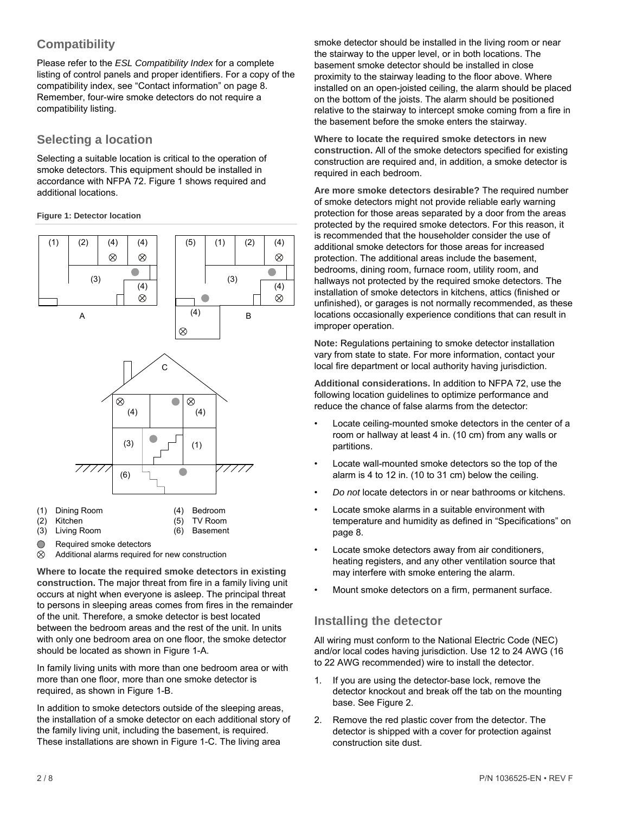# **Compatibility**

Please refer to the *ESL Compatibility Index* for a complete listing of control panels and proper identifiers. For a copy of the compatibility index, see "Contact information" on page 8. Remember, four-wire smoke detectors do not require a compatibility listing.

# **Selecting a location**

Selecting a suitable location is critical to the operation of smoke detectors. This equipment should be installed in accordance with NFPA 72. Figure 1 shows required and additional locations.

## **Figure 1: Detector location**



- (2) Kitchen (5) TV Room
- (3) Living Room (6) Basement
- **C** Required smoke detectors
- $\otimes$  Additional alarms required for new construction

**Where to locate the required smoke detectors in existing construction.** The major threat from fire in a family living unit occurs at night when everyone is asleep. The principal threat to persons in sleeping areas comes from fires in the remainder of the unit. Therefore, a smoke detector is best located between the bedroom areas and the rest of the unit. In units with only one bedroom area on one floor, the smoke detector should be located as shown in Figure 1-A.

In family living units with more than one bedroom area or with more than one floor, more than one smoke detector is required, as shown in Figure 1-B.

In addition to smoke detectors outside of the sleeping areas, the installation of a smoke detector on each additional story of the family living unit, including the basement, is required. These installations are shown in Figure 1-C. The living area

smoke detector should be installed in the living room or near the stairway to the upper level, or in both locations. The basement smoke detector should be installed in close proximity to the stairway leading to the floor above. Where installed on an open-joisted ceiling, the alarm should be placed on the bottom of the joists. The alarm should be positioned relative to the stairway to intercept smoke coming from a fire in the basement before the smoke enters the stairway.

**Where to locate the required smoke detectors in new construction.** All of the smoke detectors specified for existing construction are required and, in addition, a smoke detector is required in each bedroom.

**Are more smoke detectors desirable?** The required number of smoke detectors might not provide reliable early warning protection for those areas separated by a door from the areas protected by the required smoke detectors. For this reason, it is recommended that the householder consider the use of additional smoke detectors for those areas for increased protection. The additional areas include the basement, bedrooms, dining room, furnace room, utility room, and hallways not protected by the required smoke detectors. The installation of smoke detectors in kitchens, attics (finished or unfinished), or garages is not normally recommended, as these locations occasionally experience conditions that can result in improper operation.

**Note:** Regulations pertaining to smoke detector installation vary from state to state. For more information, contact your local fire department or local authority having jurisdiction.

**Additional considerations.** In addition to NFPA 72, use the following location guidelines to optimize performance and reduce the chance of false alarms from the detector:

- Locate ceiling-mounted smoke detectors in the center of a room or hallway at least 4 in. (10 cm) from any walls or partitions.
- Locate wall-mounted smoke detectors so the top of the alarm is 4 to 12 in. (10 to 31 cm) below the ceiling.
- *Do not* locate detectors in or near bathrooms or kitchens.
- Locate smoke alarms in a suitable environment with temperature and humidity as defined in "Specifications" on page 8.
- Locate smoke detectors away from air conditioners, heating registers, and any other ventilation source that may interfere with smoke entering the alarm.
- Mount smoke detectors on a firm, permanent surface.

## **Installing the detector**

All wiring must conform to the National Electric Code (NEC) and/or local codes having jurisdiction. Use 12 to 24 AWG (16 to 22 AWG recommended) wire to install the detector.

- 1. If you are using the detector-base lock, remove the detector knockout and break off the tab on the mounting base. See Figure 2.
- 2. Remove the red plastic cover from the detector. The detector is shipped with a cover for protection against construction site dust.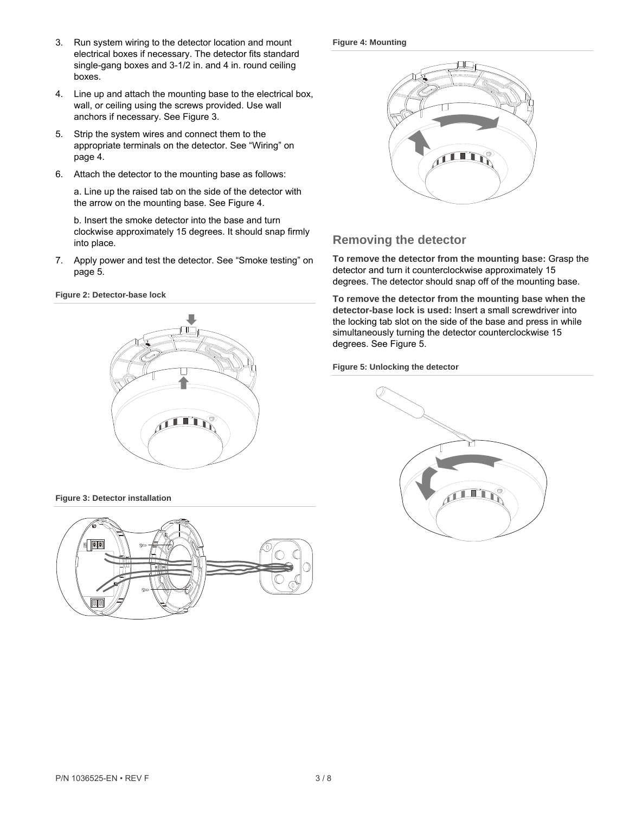- 3. Run system wiring to the detector location and mount electrical boxes if necessary. The detector fits standard single-gang boxes and 3-1/2 in. and 4 in. round ceiling boxes.
- 4. Line up and attach the mounting base to the electrical box, wall, or ceiling using the screws provided. Use wall anchors if necessary. See Figure 3.
- 5. Strip the system wires and connect them to the appropriate terminals on the detector. See "Wiring" on page 4.
- 6. Attach the detector to the mounting base as follows:

a. Line up the raised tab on the side of the detector with the arrow on the mounting base. See Figure 4.

b. Insert the smoke detector into the base and turn clockwise approximately 15 degrees. It should snap firmly into place.

7. Apply power and test the detector. See "Smoke testing" on page 5.

#### **Figure 2: Detector-base lock**



**Figure 3: Detector installation** 



#### **Figure 4: Mounting**



## **Removing the detector**

**To remove the detector from the mounting base:** Grasp the detector and turn it counterclockwise approximately 15 degrees. The detector should snap off of the mounting base.

**To remove the detector from the mounting base when the detector-base lock is used:** Insert a small screwdriver into the locking tab slot on the side of the base and press in while simultaneously turning the detector counterclockwise 15 degrees. See Figure 5.

**Figure 5: Unlocking the detector** 

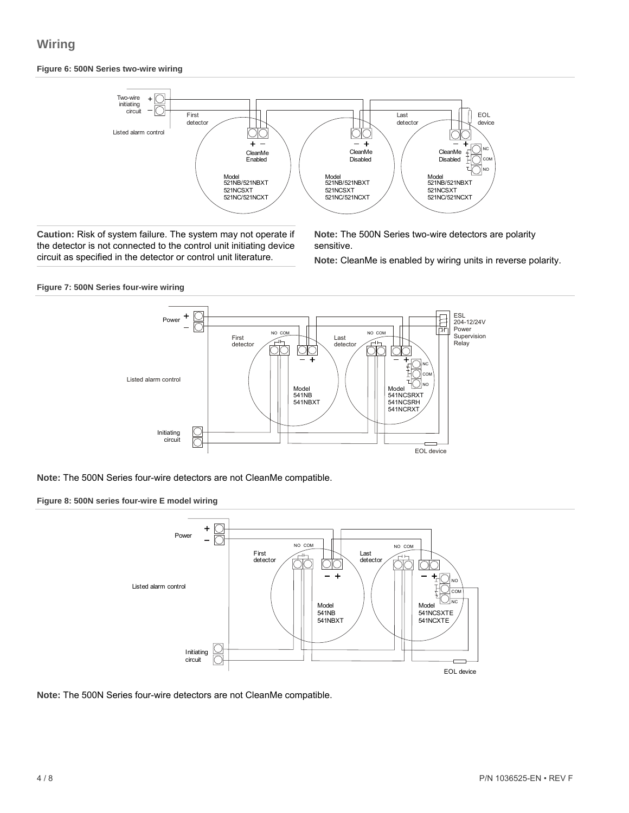# **Wiring**

### **Figure 6: 500N Series two-wire wiring**



**Caution:** Risk of system failure. The system may not operate if the detector is not connected to the control unit initiating device circuit as specified in the detector or control unit literature.

**Note:** The 500N Series two-wire detectors are polarity sensitive.

**Note:** CleanMe is enabled by wiring units in reverse polarity.

**Figure 7: 500N Series four-wire wiring** 



**Note:** The 500N Series four-wire detectors are not CleanMe compatible.

## **Figure 8: 500N series four-wire E model wiring**



**Note:** The 500N Series four-wire detectors are not CleanMe compatible.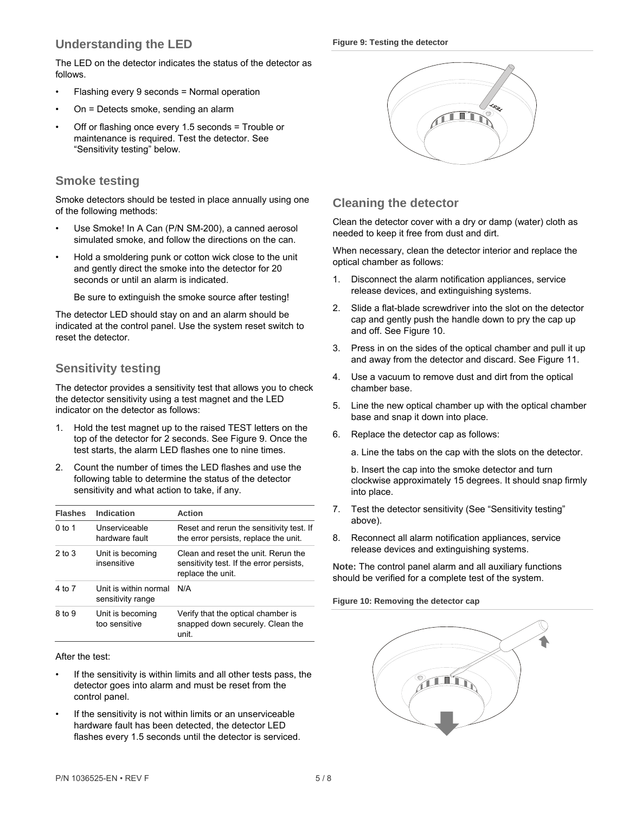# **Understanding the LED**

#### **Figure 9: Testing the detector**

The LED on the detector indicates the status of the detector as follows.

- Flashing every 9 seconds = Normal operation
- On = Detects smoke, sending an alarm
- Off or flashing once every 1.5 seconds = Trouble or maintenance is required. Test the detector. See "Sensitivity testing" below.

## **Smoke testing**

Smoke detectors should be tested in place annually using one of the following methods:

- Use Smoke! In A Can (P/N SM-200), a canned aerosol simulated smoke, and follow the directions on the can.
- Hold a smoldering punk or cotton wick close to the unit and gently direct the smoke into the detector for 20 seconds or until an alarm is indicated.

Be sure to extinguish the smoke source after testing!

The detector LED should stay on and an alarm should be indicated at the control panel. Use the system reset switch to reset the detector.

# **Sensitivity testing**

The detector provides a sensitivity test that allows you to check the detector sensitivity using a test magnet and the LED indicator on the detector as follows:

- 1. Hold the test magnet up to the raised TEST letters on the top of the detector for 2 seconds. See Figure 9. Once the test starts, the alarm LED flashes one to nine times.
- 2. Count the number of times the LED flashes and use the following table to determine the status of the detector sensitivity and what action to take, if any.

| <b>Flashes</b> | Indication                                 | <b>Action</b>                                                                                        |
|----------------|--------------------------------------------|------------------------------------------------------------------------------------------------------|
| $0$ to 1       | Unserviceable<br>hardware fault            | Reset and rerun the sensitivity test. If<br>the error persists, replace the unit.                    |
| $2$ to $3$     | Unit is becoming<br>insensitive            | Clean and reset the unit. Rerun the<br>sensitivity test. If the error persists,<br>replace the unit. |
| 4 to 7         | Unit is within normal<br>sensitivity range | N/A                                                                                                  |
| 8 to 9         | Unit is becoming<br>too sensitive          | Verify that the optical chamber is<br>snapped down securely. Clean the<br>unit.                      |

After the test:

- If the sensitivity is within limits and all other tests pass, the detector goes into alarm and must be reset from the control panel.
- If the sensitivity is not within limits or an unserviceable hardware fault has been detected, the detector LED flashes every 1.5 seconds until the detector is serviced.



## **Cleaning the detector**

Clean the detector cover with a dry or damp (water) cloth as needed to keep it free from dust and dirt.

When necessary, clean the detector interior and replace the optical chamber as follows:

- 1. Disconnect the alarm notification appliances, service release devices, and extinguishing systems.
- 2. Slide a flat-blade screwdriver into the slot on the detector cap and gently push the handle down to pry the cap up and off. See Figure 10.
- 3. Press in on the sides of the optical chamber and pull it up and away from the detector and discard. See Figure 11.
- 4. Use a vacuum to remove dust and dirt from the optical chamber base.
- 5. Line the new optical chamber up with the optical chamber base and snap it down into place.
- 6. Replace the detector cap as follows:
	- a. Line the tabs on the cap with the slots on the detector.

b. Insert the cap into the smoke detector and turn clockwise approximately 15 degrees. It should snap firmly into place.

- 7. Test the detector sensitivity (See "Sensitivity testing" above).
- 8. Reconnect all alarm notification appliances, service release devices and extinguishing systems.

**Note:** The control panel alarm and all auxiliary functions should be verified for a complete test of the system.

**Figure 10: Removing the detector cap** 

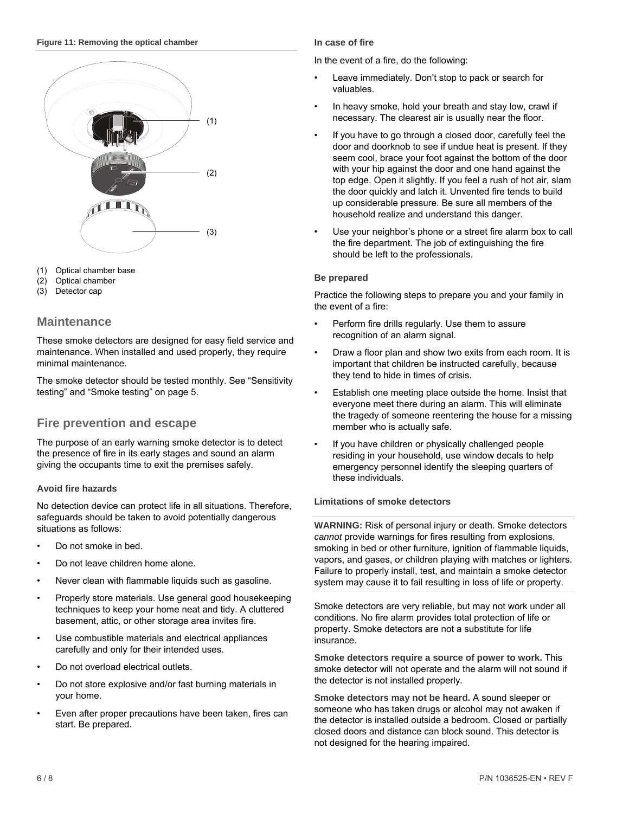**Figure 11: Removing the optical chamber** 



- (1) Optical chamber base
- (2) Optical chamber
- (3) Detector cap

## **Maintenance**

These smoke detectors are designed for easy field service and maintenance. When installed and used properly, they require minimal maintenance.

The smoke detector should be tested monthly. See "Sensitivity testing" and "Smoke testing" on page 5.

## **Fire prevention and escape**

The purpose of an early warning smoke detector is to detect the presence of fire in its early stages and sound an alarm giving the occupants time to exit the premises safely.

## **Avoid fire hazards**

No detection device can protect life in all situations. Therefore, safeguards should be taken to avoid potentially dangerous situations as follows:

- Do not smoke in bed.
- Do not leave children home alone.
- Never clean with flammable liquids such as gasoline.
- Properly store materials. Use general good housekeeping techniques to keep your home neat and tidy. A cluttered basement, attic, or other storage area invites fire.
- Use combustible materials and electrical appliances carefully and only for their intended uses.
- Do not overload electrical outlets.
- Do not store explosive and/or fast burning materials in your home.
- Even after proper precautions have been taken, fires can start. Be prepared.

#### **In case of fire**

In the event of a fire, do the following:

- Leave immediately. Don't stop to pack or search for valuables.
- In heavy smoke, hold your breath and stay low, crawl if necessary. The clearest air is usually near the floor.
- If you have to go through a closed door, carefully feel the door and doorknob to see if undue heat is present. If they seem cool, brace your foot against the bottom of the door with your hip against the door and one hand against the top edge. Open it slightly. If you feel a rush of hot air, slam the door quickly and latch it. Unvented fire tends to build up considerable pressure. Be sure all members of the household realize and understand this danger.
- Use your neighbor's phone or a street fire alarm box to call the fire department. The job of extinguishing the fire should be left to the professionals.

## **Be prepared**

Practice the following steps to prepare you and your family in the event of a fire:

- Perform fire drills regularly. Use them to assure recognition of an alarm signal.
- Draw a floor plan and show two exits from each room. It is important that children be instructed carefully, because they tend to hide in times of crisis.
- Establish one meeting place outside the home. Insist that everyone meet there during an alarm. This will eliminate the tragedy of someone reentering the house for a missing member who is actually safe.
- If you have children or physically challenged people residing in your household, use window decals to help emergency personnel identify the sleeping quarters of these individuals.

## **Limitations of smoke detectors**

**WARNING:** Risk of personal injury or death. Smoke detectors *cannot* provide warnings for fires resulting from explosions, smoking in bed or other furniture, ignition of flammable liquids, vapors, and gases, or children playing with matches or lighters. Failure to properly install, test, and maintain a smoke detector system may cause it to fail resulting in loss of life or property.

Smoke detectors are very reliable, but may not work under all conditions. No fire alarm provides total protection of life or property. Smoke detectors are not a substitute for life insurance.

**Smoke detectors require a source of power to work.** This smoke detector will not operate and the alarm will not sound if the detector is not installed properly.

**Smoke detectors may not be heard.** A sound sleeper or someone who has taken drugs or alcohol may not awaken if the detector is installed outside a bedroom. Closed or partially closed doors and distance can block sound. This detector is not designed for the hearing impaired.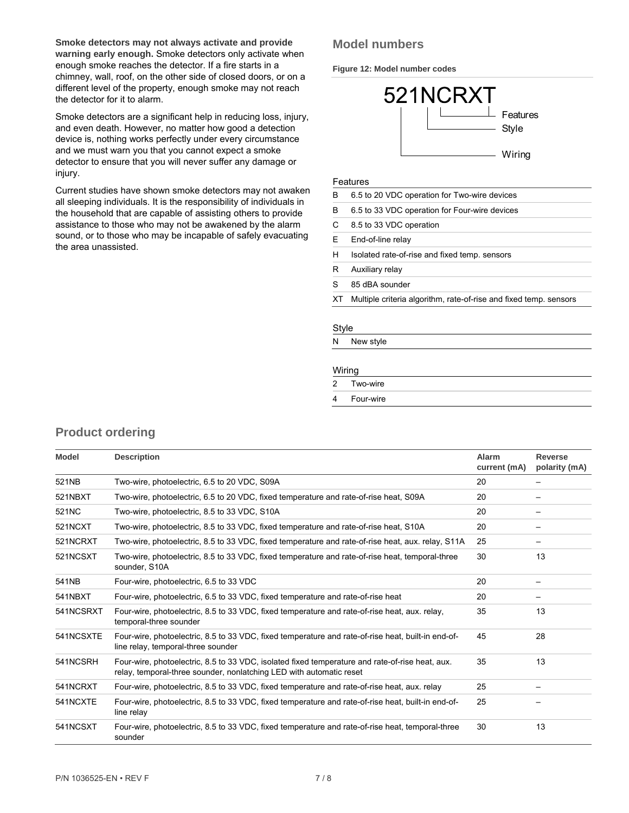**Smoke detectors may not always activate and provide warning early enough.** Smoke detectors only activate when enough smoke reaches the detector. If a fire starts in a chimney, wall, roof, on the other side of closed doors, or on a different level of the property, enough smoke may not reach the detector for it to alarm.

Smoke detectors are a significant help in reducing loss, injury, and even death. However, no matter how good a detection device is, nothing works perfectly under every circumstance and we must warn you that you cannot expect a smoke detector to ensure that you will never suffer any damage or injury.

Current studies have shown smoke detectors may not awaken all sleeping individuals. It is the responsibility of individuals in the household that are capable of assisting others to provide assistance to those who may not be awakened by the alarm sound, or to those who may be incapable of safely evacuating the area unassisted.

## **Model numbers**

**Figure 12: Model number codes** 



#### Features

| B 6.5 to 20 VDC operation for Two-wire devices  |
|-------------------------------------------------|
| B 6.5 to 33 VDC operation for Four-wire devices |
| C 8.5 to 33 VDC operation                       |

- E End-of-line relay
- H Isolated rate-of-rise and fixed temp. sensors
- R Auxiliary relay
- S 85 dBA sounder

XT Multiple criteria algorithm, rate-of-rise and fixed temp. sensors

## Style

N New style

#### Wiring

- 2 Two-wire
- 4 Four-wire

# **Product ordering**

| Model     | <b>Description</b>                                                                                                                                                     | Alarm<br>current (mA) | <b>Reverse</b><br>polarity (mA) |
|-----------|------------------------------------------------------------------------------------------------------------------------------------------------------------------------|-----------------------|---------------------------------|
| 521NB     | Two-wire, photoelectric, 6.5 to 20 VDC, S09A                                                                                                                           | 20                    |                                 |
| 521NBXT   | Two-wire, photoelectric, 6.5 to 20 VDC, fixed temperature and rate-of-rise heat, S09A                                                                                  | 20                    |                                 |
| 521NC     | Two-wire, photoelectric, 8.5 to 33 VDC, S10A                                                                                                                           | 20                    |                                 |
| 521NCXT   | Two-wire, photoelectric, 8.5 to 33 VDC, fixed temperature and rate-of-rise heat, S10A                                                                                  | 20                    | —                               |
| 521NCRXT  | Two-wire, photoelectric, 8.5 to 33 VDC, fixed temperature and rate-of-rise heat, aux. relay, S11A                                                                      | 25                    | —                               |
| 521NCSXT  | Two-wire, photoelectric, 8.5 to 33 VDC, fixed temperature and rate-of-rise heat, temporal-three<br>sounder, S10A                                                       | 30                    | 13                              |
| 541NB     | Four-wire, photoelectric, 6.5 to 33 VDC                                                                                                                                | 20                    | —                               |
| 541NBXT   | Four-wire, photoelectric, 6.5 to 33 VDC, fixed temperature and rate-of-rise heat                                                                                       | 20                    |                                 |
| 541NCSRXT | Four-wire, photoelectric, 8.5 to 33 VDC, fixed temperature and rate-of-rise heat, aux. relay,<br>temporal-three sounder                                                | 35                    | 13                              |
| 541NCSXTE | Four-wire, photoelectric, 8.5 to 33 VDC, fixed temperature and rate-of-rise heat, built-in end-of-<br>line relay, temporal-three sounder                               | 45                    | 28                              |
| 541NCSRH  | Four-wire, photoelectric, 8.5 to 33 VDC, isolated fixed temperature and rate-of-rise heat, aux.<br>relay, temporal-three sounder, nonlatching LED with automatic reset | 35                    | 13                              |
| 541NCRXT  | Four-wire, photoelectric, 8.5 to 33 VDC, fixed temperature and rate-of-rise heat, aux. relay                                                                           | 25                    |                                 |
| 541NCXTE  | Four-wire, photoelectric, 8.5 to 33 VDC, fixed temperature and rate-of-rise heat, built-in end-of-<br>line relay                                                       | 25                    |                                 |
| 541NCSXT  | Four-wire, photoelectric, 8.5 to 33 VDC, fixed temperature and rate-of-rise heat, temporal-three<br>sounder                                                            | 30                    | 13                              |